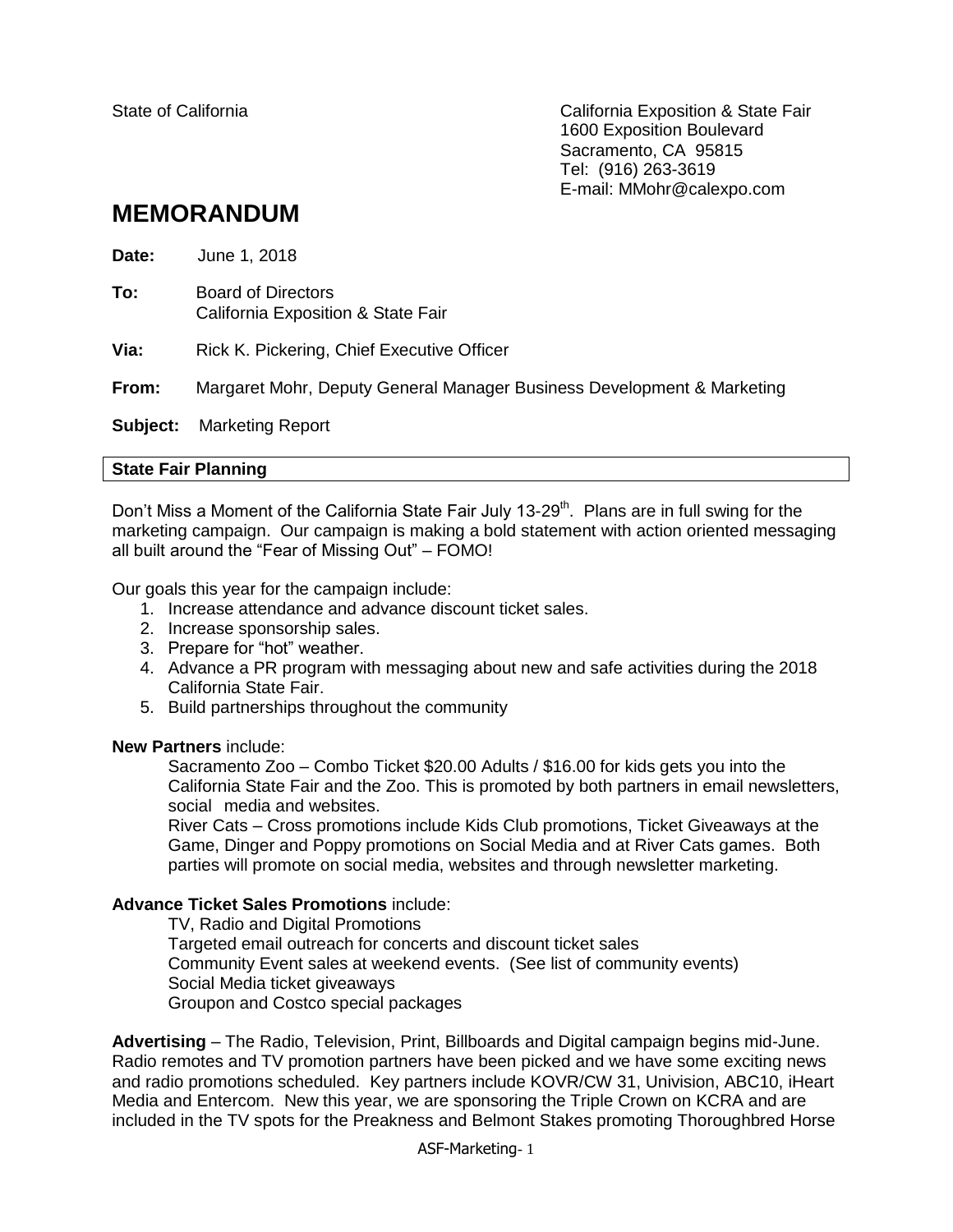State of California California Exposition & State Fair 1600 Exposition Boulevard Sacramento, CA 95815 Tel: (916) 263-3619 E-mail: MMohr@calexpo.com

# **MEMORANDUM**

| Date:    | June 1, 2018                                                           |
|----------|------------------------------------------------------------------------|
| To:      | <b>Board of Directors</b><br>California Exposition & State Fair        |
| Via:     | Rick K. Pickering, Chief Executive Officer                             |
| From:    | Margaret Mohr, Deputy General Manager Business Development & Marketing |
| Subject: | <b>Marketing Report</b>                                                |

## **State Fair Planning**

Don't Miss a Moment of the California State Fair July 13-29<sup>th</sup>. Plans are in full swing for the marketing campaign. Our campaign is making a bold statement with action oriented messaging all built around the "Fear of Missing Out" – FOMO!

Our goals this year for the campaign include:

- 1. Increase attendance and advance discount ticket sales.
- 2. Increase sponsorship sales.
- 3. Prepare for "hot" weather.
- 4. Advance a PR program with messaging about new and safe activities during the 2018 California State Fair.
- 5. Build partnerships throughout the community

#### **New Partners** include:

Sacramento Zoo – Combo Ticket \$20.00 Adults / \$16.00 for kids gets you into the California State Fair and the Zoo. This is promoted by both partners in email newsletters, social media and websites.

River Cats – Cross promotions include Kids Club promotions, Ticket Giveaways at the Game, Dinger and Poppy promotions on Social Media and at River Cats games. Both parties will promote on social media, websites and through newsletter marketing.

# **Advance Ticket Sales Promotions** include:

TV, Radio and Digital Promotions Targeted email outreach for concerts and discount ticket sales Community Event sales at weekend events. (See list of community events) Social Media ticket giveaways Groupon and Costco special packages

**Advertising** – The Radio, Television, Print, Billboards and Digital campaign begins mid-June. Radio remotes and TV promotion partners have been picked and we have some exciting news and radio promotions scheduled. Key partners include KOVR/CW 31, Univision, ABC10, iHeart Media and Entercom. New this year, we are sponsoring the Triple Crown on KCRA and are included in the TV spots for the Preakness and Belmont Stakes promoting Thoroughbred Horse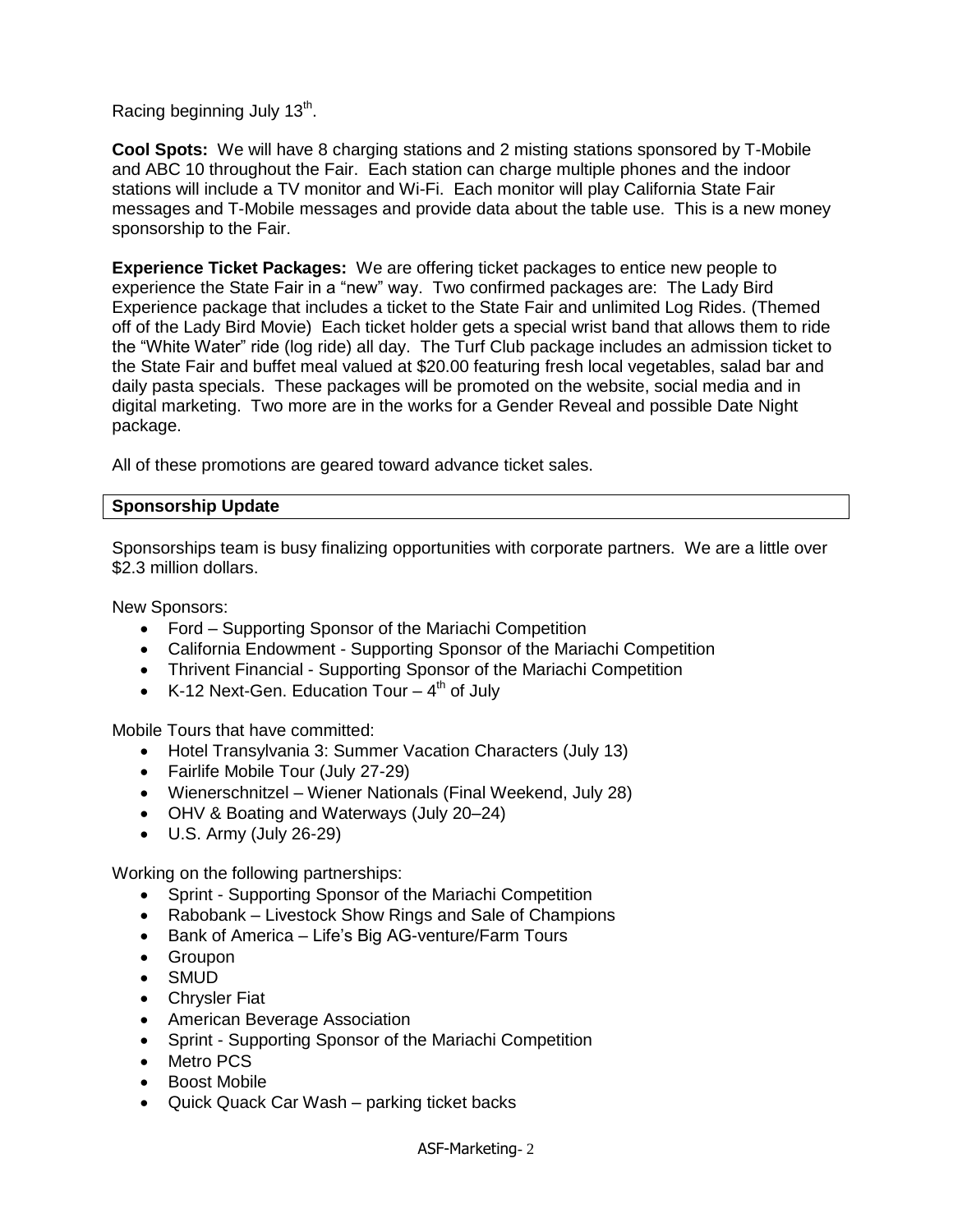Racing beginning July  $13<sup>th</sup>$ .

**Cool Spots:** We will have 8 charging stations and 2 misting stations sponsored by T-Mobile and ABC 10 throughout the Fair. Each station can charge multiple phones and the indoor stations will include a TV monitor and Wi-Fi. Each monitor will play California State Fair messages and T-Mobile messages and provide data about the table use. This is a new money sponsorship to the Fair.

**Experience Ticket Packages:** We are offering ticket packages to entice new people to experience the State Fair in a "new" way. Two confirmed packages are:The Lady Bird Experience package that includes a ticket to the State Fair and unlimited Log Rides. (Themed off of the Lady Bird Movie) Each ticket holder gets a special wrist band that allows them to ride the "White Water" ride (log ride) all day. The Turf Club package includes an admission ticket to the State Fair and buffet meal valued at \$20.00 featuring fresh local vegetables, salad bar and daily pasta specials. These packages will be promoted on the website, social media and in digital marketing. Two more are in the works for a Gender Reveal and possible Date Night package.

All of these promotions are geared toward advance ticket sales.

# **Sponsorship Update**

Sponsorships team is busy finalizing opportunities with corporate partners. We are a little over \$2.3 million dollars.

New Sponsors:

- Ford Supporting Sponsor of the Mariachi Competition
- California Endowment Supporting Sponsor of the Mariachi Competition
- Thrivent Financial Supporting Sponsor of the Mariachi Competition
- K-12 Next-Gen. Education Tour  $-4<sup>th</sup>$  of July

Mobile Tours that have committed:

- Hotel Transylvania 3: Summer Vacation Characters (July 13)
- Fairlife Mobile Tour (July 27-29)
- Wienerschnitzel Wiener Nationals (Final Weekend, July 28)
- OHV & Boating and Waterways (July 20–24)
- U.S. Army (July 26-29)

Working on the following partnerships:

- Sprint Supporting Sponsor of the Mariachi Competition
- Rabobank Livestock Show Rings and Sale of Champions
- Bank of America Life's Big AG-venture/Farm Tours
- Groupon
- SMUD
- Chrysler Fiat
- American Beverage Association
- Sprint Supporting Sponsor of the Mariachi Competition
- Metro PCS
- **•** Boost Mobile
- Quick Quack Car Wash parking ticket backs